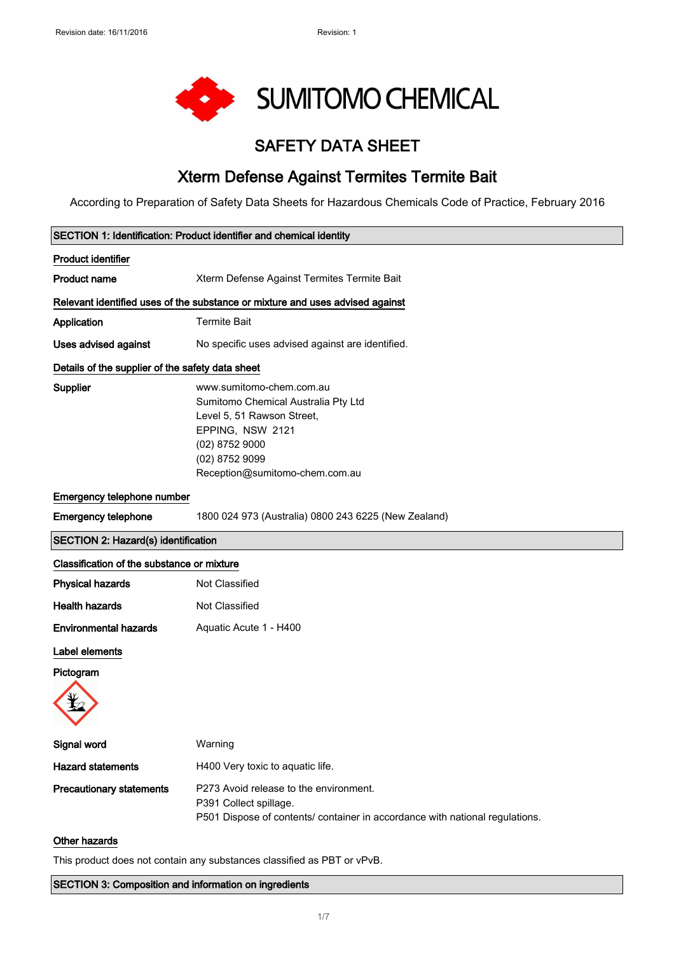

# SAFETY DATA SHEET

# Xterm Defense Against Termites Termite Bait

According to Preparation of Safety Data Sheets for Hazardous Chemicals Code of Practice, February 2016

| SECTION 1: Identification: Product identifier and chemical identity |                                                                                                                                                                                         |
|---------------------------------------------------------------------|-----------------------------------------------------------------------------------------------------------------------------------------------------------------------------------------|
| <b>Product identifier</b>                                           |                                                                                                                                                                                         |
| <b>Product name</b>                                                 | Xterm Defense Against Termites Termite Bait                                                                                                                                             |
|                                                                     | Relevant identified uses of the substance or mixture and uses advised against                                                                                                           |
| Application                                                         | <b>Termite Bait</b>                                                                                                                                                                     |
| <b>Uses advised against</b>                                         | No specific uses advised against are identified.                                                                                                                                        |
| Details of the supplier of the safety data sheet                    |                                                                                                                                                                                         |
| Supplier                                                            | www.sumitomo-chem.com.au<br>Sumitomo Chemical Australia Pty Ltd<br>Level 5, 51 Rawson Street,<br>EPPING, NSW 2121<br>(02) 8752 9000<br>(02) 8752 9099<br>Reception@sumitomo-chem.com.au |
| Emergency telephone number                                          |                                                                                                                                                                                         |
| <b>Emergency telephone</b>                                          | 1800 024 973 (Australia) 0800 243 6225 (New Zealand)                                                                                                                                    |
| <b>SECTION 2: Hazard(s) identification</b>                          |                                                                                                                                                                                         |
| Classification of the substance or mixture                          |                                                                                                                                                                                         |
| <b>Physical hazards</b>                                             | Not Classified                                                                                                                                                                          |
| <b>Health hazards</b>                                               | Not Classified                                                                                                                                                                          |
| <b>Environmental hazards</b>                                        | Aquatic Acute 1 - H400                                                                                                                                                                  |
| Label elements                                                      |                                                                                                                                                                                         |
| Pictogram                                                           |                                                                                                                                                                                         |
|                                                                     |                                                                                                                                                                                         |
| Signal word                                                         | Warning                                                                                                                                                                                 |
| <b>Hazard statements</b>                                            | H400 Very toxic to aquatic life.                                                                                                                                                        |
| <b>Precautionary statements</b>                                     | P273 Avoid release to the environment.<br>P391 Collect spillage.<br>P501 Dispose of contents/ container in accordance with national regulations.                                        |
| Other hazards                                                       |                                                                                                                                                                                         |

This product does not contain any substances classified as PBT or vPvB.

SECTION 3: Composition and information on ingredients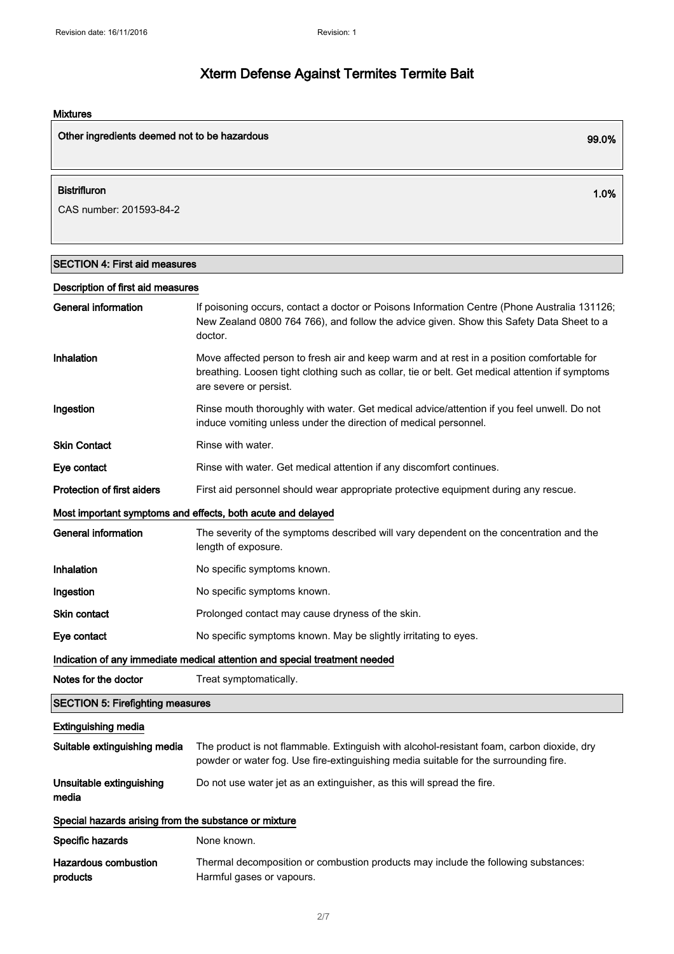### Mixtures

| Other ingredients deemed not to be hazardous | 99.0% |
|----------------------------------------------|-------|
| <b>Bistrifluron</b>                          | 1.0%  |
| CAS number: 201593-84-2                      |       |

## SECTION 4: First aid measures

| Description of first aid measures                           |                                                                                                                                                                                                                        |
|-------------------------------------------------------------|------------------------------------------------------------------------------------------------------------------------------------------------------------------------------------------------------------------------|
| <b>General information</b>                                  | If poisoning occurs, contact a doctor or Poisons Information Centre (Phone Australia 131126;<br>New Zealand 0800 764 766), and follow the advice given. Show this Safety Data Sheet to a<br>doctor.                    |
| Inhalation                                                  | Move affected person to fresh air and keep warm and at rest in a position comfortable for<br>breathing. Loosen tight clothing such as collar, tie or belt. Get medical attention if symptoms<br>are severe or persist. |
| Ingestion                                                   | Rinse mouth thoroughly with water. Get medical advice/attention if you feel unwell. Do not<br>induce vomiting unless under the direction of medical personnel.                                                         |
| <b>Skin Contact</b>                                         | Rinse with water.                                                                                                                                                                                                      |
| Eye contact                                                 | Rinse with water. Get medical attention if any discomfort continues.                                                                                                                                                   |
| <b>Protection of first aiders</b>                           | First aid personnel should wear appropriate protective equipment during any rescue.                                                                                                                                    |
| Most important symptoms and effects, both acute and delayed |                                                                                                                                                                                                                        |
| <b>General information</b>                                  | The severity of the symptoms described will vary dependent on the concentration and the<br>length of exposure.                                                                                                         |
| Inhalation                                                  | No specific symptoms known.                                                                                                                                                                                            |
| Ingestion                                                   | No specific symptoms known.                                                                                                                                                                                            |
| Skin contact                                                | Prolonged contact may cause dryness of the skin.                                                                                                                                                                       |
| Eye contact                                                 | No specific symptoms known. May be slightly irritating to eyes.                                                                                                                                                        |
|                                                             | Indication of any immediate medical attention and special treatment needed                                                                                                                                             |
| Notes for the doctor                                        | Treat symptomatically.                                                                                                                                                                                                 |
| <b>SECTION 5: Firefighting measures</b>                     |                                                                                                                                                                                                                        |
| <b>Extinguishing media</b>                                  |                                                                                                                                                                                                                        |
| Suitable extinguishing media                                | The product is not flammable. Extinguish with alcohol-resistant foam, carbon dioxide, dry<br>powder or water fog. Use fire-extinguishing media suitable for the surrounding fire.                                      |
| Unsuitable extinguishing<br>media                           | Do not use water jet as an extinguisher, as this will spread the fire.                                                                                                                                                 |
| Special hazards arising from the substance or mixture       |                                                                                                                                                                                                                        |
| Specific hazards                                            | None known.                                                                                                                                                                                                            |
| <b>Hazardous combustion</b><br>products                     | Thermal decomposition or combustion products may include the following substances:<br>Harmful gases or vapours.                                                                                                        |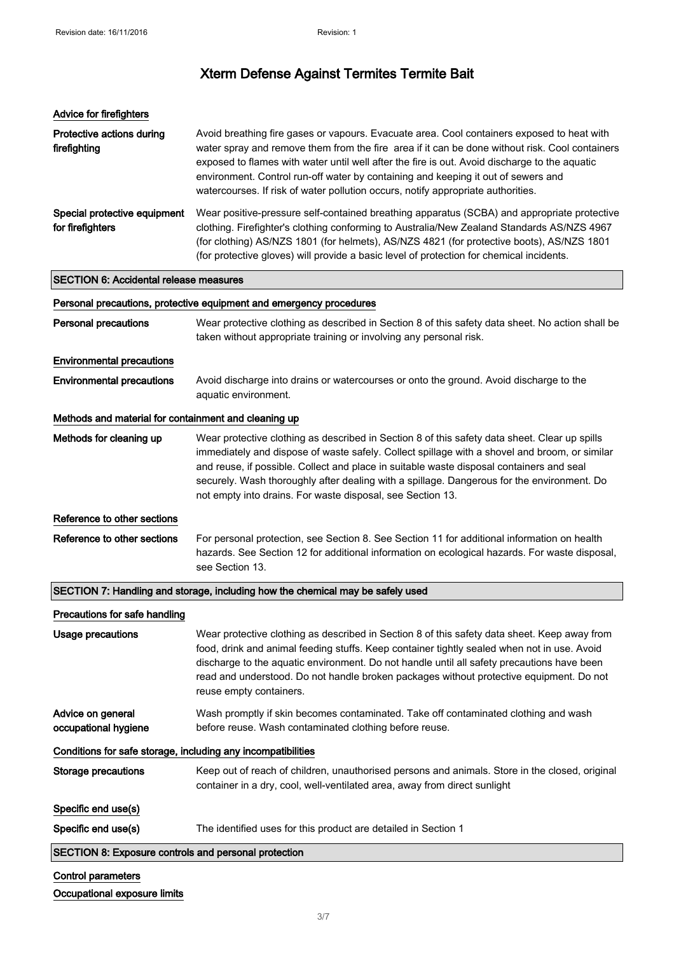| Advice for firefighters                                      |                                                                                                                                                                                                                                                                                                                                                                                                                                                                        |
|--------------------------------------------------------------|------------------------------------------------------------------------------------------------------------------------------------------------------------------------------------------------------------------------------------------------------------------------------------------------------------------------------------------------------------------------------------------------------------------------------------------------------------------------|
| Protective actions during<br>firefighting                    | Avoid breathing fire gases or vapours. Evacuate area. Cool containers exposed to heat with<br>water spray and remove them from the fire area if it can be done without risk. Cool containers<br>exposed to flames with water until well after the fire is out. Avoid discharge to the aquatic<br>environment. Control run-off water by containing and keeping it out of sewers and<br>watercourses. If risk of water pollution occurs, notify appropriate authorities. |
| Special protective equipment<br>for firefighters             | Wear positive-pressure self-contained breathing apparatus (SCBA) and appropriate protective<br>clothing. Firefighter's clothing conforming to Australia/New Zealand Standards AS/NZS 4967<br>(for clothing) AS/NZS 1801 (for helmets), AS/NZS 4821 (for protective boots), AS/NZS 1801<br>(for protective gloves) will provide a basic level of protection for chemical incidents.                                                                                     |
| <b>SECTION 6: Accidental release measures</b>                |                                                                                                                                                                                                                                                                                                                                                                                                                                                                        |
|                                                              | Personal precautions, protective equipment and emergency procedures                                                                                                                                                                                                                                                                                                                                                                                                    |
| <b>Personal precautions</b>                                  | Wear protective clothing as described in Section 8 of this safety data sheet. No action shall be<br>taken without appropriate training or involving any personal risk.                                                                                                                                                                                                                                                                                                 |
| <b>Environmental precautions</b>                             |                                                                                                                                                                                                                                                                                                                                                                                                                                                                        |
| <b>Environmental precautions</b>                             | Avoid discharge into drains or watercourses or onto the ground. Avoid discharge to the<br>aquatic environment.                                                                                                                                                                                                                                                                                                                                                         |
| Methods and material for containment and cleaning up         |                                                                                                                                                                                                                                                                                                                                                                                                                                                                        |
| Methods for cleaning up                                      | Wear protective clothing as described in Section 8 of this safety data sheet. Clear up spills<br>immediately and dispose of waste safely. Collect spillage with a shovel and broom, or similar<br>and reuse, if possible. Collect and place in suitable waste disposal containers and seal<br>securely. Wash thoroughly after dealing with a spillage. Dangerous for the environment. Do<br>not empty into drains. For waste disposal, see Section 13.                 |
| Reference to other sections                                  |                                                                                                                                                                                                                                                                                                                                                                                                                                                                        |
| Reference to other sections                                  | For personal protection, see Section 8. See Section 11 for additional information on health<br>hazards. See Section 12 for additional information on ecological hazards. For waste disposal,<br>see Section 13.                                                                                                                                                                                                                                                        |
|                                                              | SECTION 7: Handling and storage, including how the chemical may be safely used                                                                                                                                                                                                                                                                                                                                                                                         |
| Precautions for safe handling                                |                                                                                                                                                                                                                                                                                                                                                                                                                                                                        |
| <b>Usage precautions</b>                                     | Wear protective clothing as described in Section 8 of this safety data sheet. Keep away from<br>food, drink and animal feeding stuffs. Keep container tightly sealed when not in use. Avoid<br>discharge to the aquatic environment. Do not handle until all safety precautions have been<br>read and understood. Do not handle broken packages without protective equipment. Do not<br>reuse empty containers.                                                        |
| Advice on general<br>occupational hygiene                    | Wash promptly if skin becomes contaminated. Take off contaminated clothing and wash<br>before reuse. Wash contaminated clothing before reuse.                                                                                                                                                                                                                                                                                                                          |
| Conditions for safe storage, including any incompatibilities |                                                                                                                                                                                                                                                                                                                                                                                                                                                                        |
| <b>Storage precautions</b>                                   | Keep out of reach of children, unauthorised persons and animals. Store in the closed, original<br>container in a dry, cool, well-ventilated area, away from direct sunlight                                                                                                                                                                                                                                                                                            |
| Specific end use(s)                                          |                                                                                                                                                                                                                                                                                                                                                                                                                                                                        |
| Specific end use(s)                                          | The identified uses for this product are detailed in Section 1                                                                                                                                                                                                                                                                                                                                                                                                         |
| SECTION 8: Exposure controls and personal protection         |                                                                                                                                                                                                                                                                                                                                                                                                                                                                        |

| <b>Control parameters</b> |  |
|---------------------------|--|
|                           |  |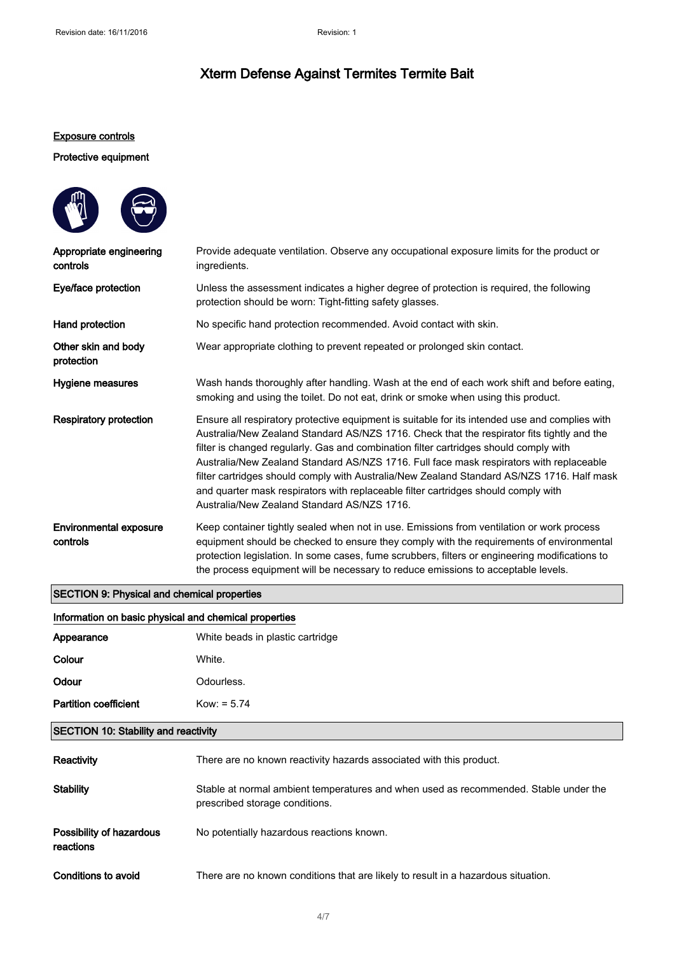#### Exposure controls

#### Protective equipment



#### SECTION 9: Physical and chemical properties

| Information on basic physical and chemical properties |                                  |
|-------------------------------------------------------|----------------------------------|
| Appearance                                            | White beads in plastic cartridge |
| Colour                                                | White.                           |
| Odour                                                 | Odourless.                       |
| <b>Partition coefficient</b>                          | $Kow: = 5.74$                    |
| <b>SECTION 10: Stability and reactivity</b>           |                                  |

| Reactivity                            | There are no known reactivity hazards associated with this product.                                                    |
|---------------------------------------|------------------------------------------------------------------------------------------------------------------------|
| Stability                             | Stable at normal ambient temperatures and when used as recommended. Stable under the<br>prescribed storage conditions. |
| Possibility of hazardous<br>reactions | No potentially hazardous reactions known.                                                                              |
| Conditions to avoid                   | There are no known conditions that are likely to result in a hazardous situation.                                      |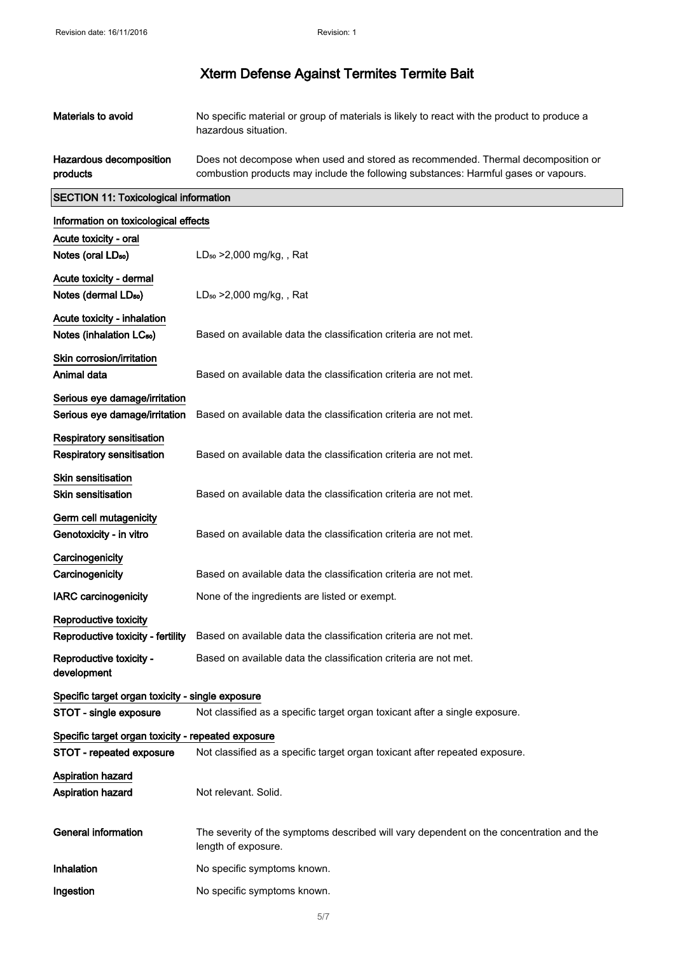| Materials to avoid                                 | No specific material or group of materials is likely to react with the product to produce a<br>hazardous situation.                                                     |
|----------------------------------------------------|-------------------------------------------------------------------------------------------------------------------------------------------------------------------------|
| Hazardous decomposition<br>products                | Does not decompose when used and stored as recommended. Thermal decomposition or<br>combustion products may include the following substances: Harmful gases or vapours. |
| <b>SECTION 11: Toxicological information</b>       |                                                                                                                                                                         |
| Information on toxicological effects               |                                                                                                                                                                         |
| Acute toxicity - oral                              |                                                                                                                                                                         |
| Notes (oral LD <sub>50</sub> )                     | $LD_{50} > 2,000$ mg/kg, , Rat                                                                                                                                          |
| Acute toxicity - dermal                            |                                                                                                                                                                         |
| Notes (dermal LD <sub>50</sub> )                   | $LD_{50} > 2,000$ mg/kg, , Rat                                                                                                                                          |
| Acute toxicity - inhalation                        |                                                                                                                                                                         |
| Notes (inhalation LC <sub>50</sub> )               | Based on available data the classification criteria are not met.                                                                                                        |
| Skin corrosion/irritation                          |                                                                                                                                                                         |
| Animal data                                        | Based on available data the classification criteria are not met.                                                                                                        |
| Serious eye damage/irritation                      |                                                                                                                                                                         |
| Serious eye damage/irritation                      | Based on available data the classification criteria are not met.                                                                                                        |
| <b>Respiratory sensitisation</b>                   |                                                                                                                                                                         |
| Respiratory sensitisation                          | Based on available data the classification criteria are not met.                                                                                                        |
| <b>Skin sensitisation</b>                          |                                                                                                                                                                         |
| <b>Skin sensitisation</b>                          | Based on available data the classification criteria are not met.                                                                                                        |
| Germ cell mutagenicity                             |                                                                                                                                                                         |
| Genotoxicity - in vitro                            | Based on available data the classification criteria are not met.                                                                                                        |
| Carcinogenicity                                    |                                                                                                                                                                         |
| Carcinogenicity                                    | Based on available data the classification criteria are not met.                                                                                                        |
| <b>IARC</b> carcinogenicity                        | None of the ingredients are listed or exempt.                                                                                                                           |
| Reproductive toxicity                              |                                                                                                                                                                         |
| Reproductive toxicity - fertility                  | Based on available data the classification criteria are not met.                                                                                                        |
| Reproductive toxicity -                            | Based on available data the classification criteria are not met.                                                                                                        |
| development                                        |                                                                                                                                                                         |
| Specific target organ toxicity - single exposure   |                                                                                                                                                                         |
| STOT - single exposure                             | Not classified as a specific target organ toxicant after a single exposure.                                                                                             |
| Specific target organ toxicity - repeated exposure |                                                                                                                                                                         |
| STOT - repeated exposure                           | Not classified as a specific target organ toxicant after repeated exposure.                                                                                             |
| <b>Aspiration hazard</b>                           |                                                                                                                                                                         |
| <b>Aspiration hazard</b>                           | Not relevant. Solid.                                                                                                                                                    |
| <b>General information</b>                         | The severity of the symptoms described will vary dependent on the concentration and the<br>length of exposure.                                                          |
| Inhalation                                         | No specific symptoms known.                                                                                                                                             |
| Ingestion                                          | No specific symptoms known.                                                                                                                                             |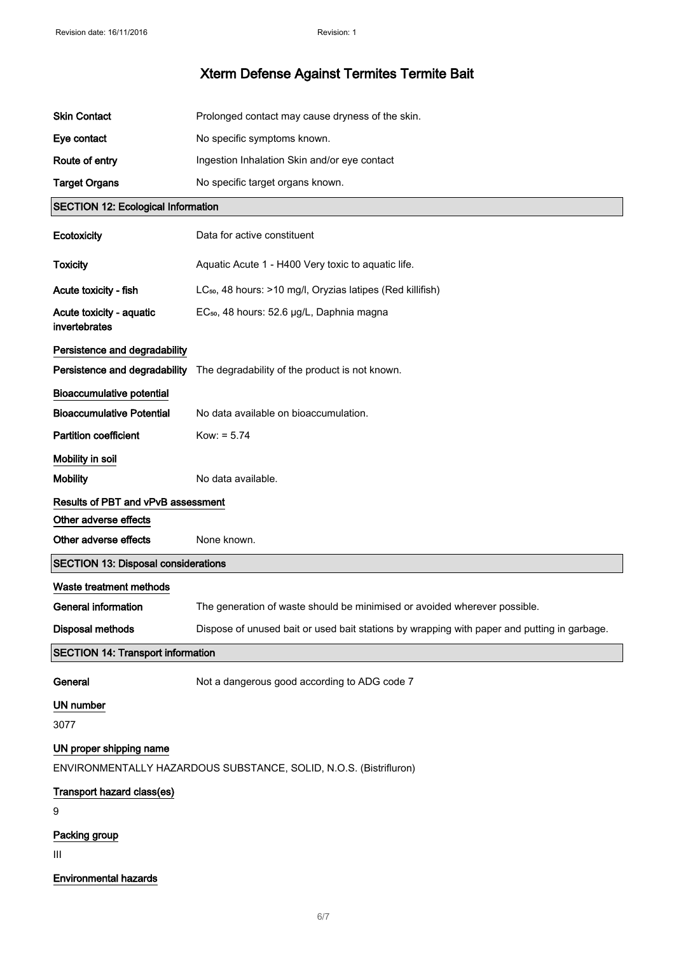| <b>Skin Contact</b>                        | Prolonged contact may cause dryness of the skin.                                            |
|--------------------------------------------|---------------------------------------------------------------------------------------------|
| Eye contact                                | No specific symptoms known.                                                                 |
| Route of entry                             | Ingestion Inhalation Skin and/or eye contact                                                |
| <b>Target Organs</b>                       | No specific target organs known.                                                            |
| <b>SECTION 12: Ecological Information</b>  |                                                                                             |
| Ecotoxicity                                | Data for active constituent                                                                 |
| <b>Toxicity</b>                            | Aquatic Acute 1 - H400 Very toxic to aquatic life.                                          |
| Acute toxicity - fish                      | LC <sub>50</sub> , 48 hours: >10 mg/l, Oryzias latipes (Red killifish)                      |
| Acute toxicity - aquatic<br>invertebrates  | EC <sub>50</sub> , 48 hours: 52.6 µg/L, Daphnia magna                                       |
| Persistence and degradability              |                                                                                             |
|                                            | Persistence and degradability The degradability of the product is not known.                |
| <b>Bioaccumulative potential</b>           |                                                                                             |
| <b>Bioaccumulative Potential</b>           | No data available on bioaccumulation.                                                       |
| <b>Partition coefficient</b>               | $Kow: = 5.74$                                                                               |
| Mobility in soil                           |                                                                                             |
| <b>Mobility</b>                            | No data available.                                                                          |
| Results of PBT and vPvB assessment         |                                                                                             |
| Other adverse effects                      |                                                                                             |
| Other adverse effects                      | None known.                                                                                 |
| <b>SECTION 13: Disposal considerations</b> |                                                                                             |
| Waste treatment methods                    |                                                                                             |
|                                            |                                                                                             |
| <b>General information</b>                 | The generation of waste should be minimised or avoided wherever possible.                   |
| <b>Disposal methods</b>                    | Dispose of unused bait or used bait stations by wrapping with paper and putting in garbage. |
| <b>SECTION 14: Transport information</b>   |                                                                                             |
| General                                    | Not a dangerous good according to ADG code 7                                                |
| UN number                                  |                                                                                             |
| 3077                                       |                                                                                             |
| UN proper shipping name                    | ENVIRONMENTALLY HAZARDOUS SUBSTANCE, SOLID, N.O.S. (Bistrifluron)                           |
| Transport hazard class(es)<br>9            |                                                                                             |
| Packing group<br>Ш                         |                                                                                             |

## Environmental hazards